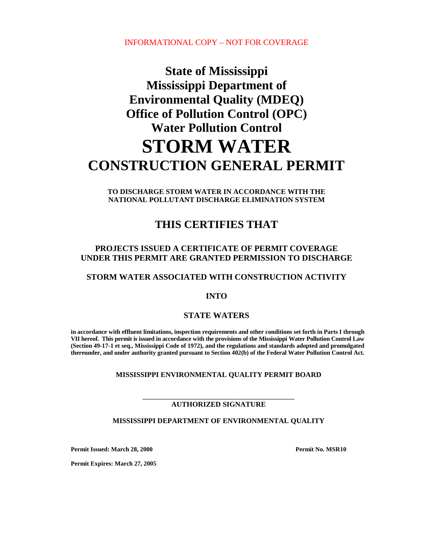INFORMATIONAL COPY – NOT FOR COVERAGE

# **State of Mississippi Mississippi Department of Environmental Quality (MDEQ) Office of Pollution Control (OPC) Water Pollution Control STORM WATER CONSTRUCTION GENERAL PERMIT**

**TO DISCHARGE STORM WATER IN ACCORDANCE WITH THE NATIONAL POLLUTANT DISCHARGE ELIMINATION SYSTEM**

## **THIS CERTIFIES THAT**

#### **PROJECTS ISSUED A CERTIFICATE OF PERMIT COVERAGE UNDER THIS PERMIT ARE GRANTED PERMISSION TO DISCHARGE**

#### **STORM WATER ASSOCIATED WITH CONSTRUCTION ACTIVITY**

#### **INTO**

#### **STATE WATERS**

**in accordance with effluent limitations, inspection requirements and other conditions set forth in Parts I through VII hereof. This permit is issued in accordance with the provisions of the Mississippi Water Pollution Control Law (Section 49-17-1 et seq., Mississippi Code of 1972), and the regulations and standards adopted and promulgated thereunder, and under authority granted pursuant to Section 402(b) of the Federal Water Pollution Control Act.**

#### **MISSISSIPPI ENVIRONMENTAL QUALITY PERMIT BOARD**

#### **\_\_\_\_\_\_\_\_\_\_\_\_\_\_\_\_\_\_\_\_\_\_\_\_\_\_\_\_\_\_\_\_\_\_\_\_\_\_\_\_\_\_\_\_\_\_\_\_ AUTHORIZED SIGNATURE**

#### **MISSISSIPPI DEPARTMENT OF ENVIRONMENTAL QUALITY**

**Permit Issued: March 28, 2000 Permit No. MSR10** 

**Permit Expires: March 27, 2005**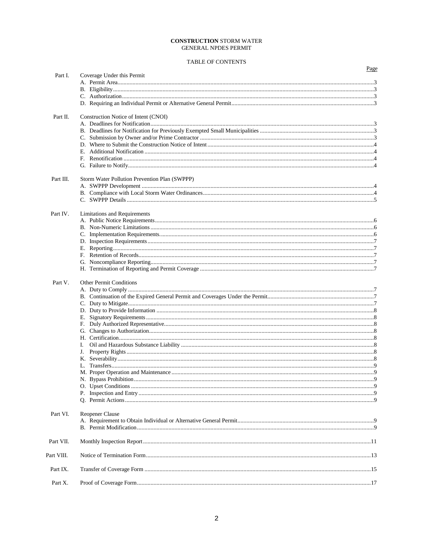#### **CONSTRUCTION STORM WATER GENERAL NPDES PERMIT**

#### TABLE OF CONTENTS

|            |                                               | Page |
|------------|-----------------------------------------------|------|
| Part I.    | Coverage Under this Permit                    |      |
|            |                                               |      |
|            |                                               |      |
|            |                                               |      |
|            |                                               |      |
| Part II.   | Construction Notice of Intent (CNOI)          |      |
|            |                                               |      |
|            |                                               |      |
|            |                                               |      |
|            |                                               |      |
|            |                                               |      |
|            |                                               |      |
|            |                                               |      |
| Part III.  | Storm Water Pollution Prevention Plan (SWPPP) |      |
|            |                                               |      |
|            |                                               |      |
|            |                                               |      |
| Part IV.   | Limitations and Requirements                  |      |
|            |                                               |      |
|            |                                               |      |
|            |                                               |      |
|            |                                               |      |
|            |                                               |      |
|            |                                               |      |
|            |                                               |      |
| Part V.    | <b>Other Permit Conditions</b>                |      |
|            |                                               |      |
|            |                                               |      |
|            |                                               |      |
|            |                                               |      |
|            |                                               |      |
|            |                                               |      |
|            |                                               |      |
|            |                                               |      |
|            | I.                                            |      |
|            | J.                                            |      |
|            |                                               |      |
|            |                                               |      |
|            |                                               |      |
|            |                                               |      |
|            |                                               |      |
|            |                                               |      |
|            |                                               |      |
| Part VI.   | Reopener Clause                               |      |
|            |                                               |      |
|            |                                               |      |
| Part VII.  |                                               |      |
| Part VIII. |                                               |      |
| Part IX.   |                                               |      |
| Part X.    |                                               |      |
|            |                                               |      |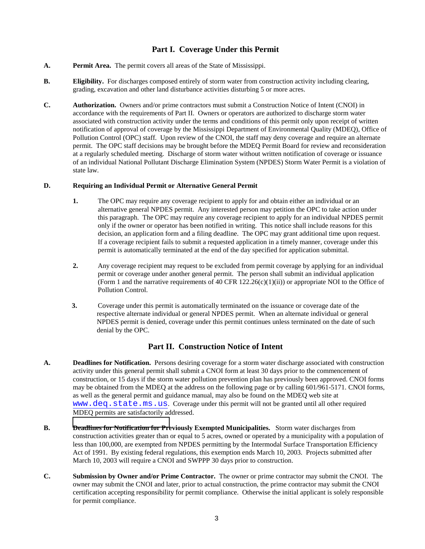#### **Part I. Coverage Under this Permit**

- **A. Permit Area.** The permit covers all areas of the State of Mississippi.
- **B.** Eligibility. For discharges composed entirely of storm water from construction activity including clearing, grading, excavation and other land disturbance activities disturbing 5 or more acres.
- **C. Authorization.** Owners and/or prime contractors must submit a Construction Notice of Intent (CNOI) in accordance with the requirements of Part II. Owners or operators are authorized to discharge storm water associated with construction activity under the terms and conditions of this permit only upon receipt of written notification of approval of coverage by the Mississippi Department of Environmental Quality (MDEQ), Office of Pollution Control (OPC) staff. Upon review of the CNOI, the staff may deny coverage and require an alternate permit. The OPC staff decisions may be brought before the MDEQ Permit Board for review and reconsideration at a regularly scheduled meeting. Discharge of storm water without written notification of coverage or issuance of an individual National Pollutant Discharge Elimination System (NPDES) Storm Water Permit is a violation of state law.

#### **D. Requiring an Individual Permit or Alternative General Permit**

- **1.** The OPC may require any coverage recipient to apply for and obtain either an individual or an alternative general NPDES permit. Any interested person may petition the OPC to take action under this paragraph. The OPC may require any coverage recipient to apply for an individual NPDES permit only if the owner or operator has been notified in writing. This notice shall include reasons for this decision, an application form and a filing deadline. The OPC may grant additional time upon request. If a coverage recipient fails to submit a requested application in a timely manner, coverage under this permit is automatically terminated at the end of the day specified for application submittal.
- **2.** Any coverage recipient may request to be excluded from permit coverage by applying for an individual permit or coverage under another general permit. The person shall submit an individual application (Form 1 and the narrative requirements of 40 CFR  $122.26(c)(1)(ii)$ ) or appropriate NOI to the Office of Pollution Control.
- **3.** Coverage under this permit is automatically terminated on the issuance or coverage date of the respective alternate individual or general NPDES permit. When an alternate individual or general NPDES permit is denied, coverage under this permit continues unless terminated on the date of such denial by the OPC.

#### **Part II. Construction Notice of Intent**

- **A. Deadlines for Notification.** Persons desiring coverage for a storm water discharge associated with construction activity under this general permit shall submit a CNOI form at least 30 days prior to the commencement of construction, or 15 days if the storm water pollution prevention plan has previously been approved. CNOI forms may be obtained from the MDEQ at the address on the following page or by calling 601/961-5171. CNOI forms, as well as the general permit and guidance manual, may also be found on the MDEQ web site at www.deq.state.ms.us. Coverage under this permit will not be granted until all other required MDEQ permits are satisfactorily addressed.
- **B. [Deadlines for Notification for Pre](http://www.deq.state.ms.us/)viously Exempted Municipalities.** Storm water discharges from construction activities greater than or equal to 5 acres, owned or operated by a municipality with a population of less than 100,000, are exempted from NPDES permitting by the Intermodal Surface Transportation Efficiency Act of 1991. By existing federal regulations, this exemption ends March 10, 2003. Projects submitted after March 10, 2003 will require a CNOI and SWPPP 30 days prior to construction.
- **C. Submission by Owner and/or Prime Contractor.** The owner or prime contractor may submit the CNOI. The owner may submit the CNOI and later, prior to actual construction, the prime contractor may submit the CNOI certification accepting responsibility for permit compliance. Otherwise the initial applicant is solely responsible for permit compliance.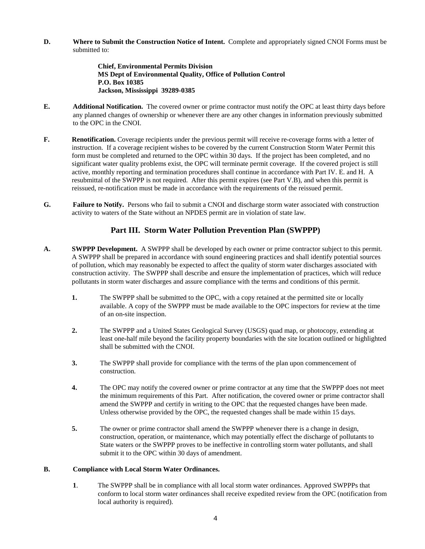**D. Where to Submit the Construction Notice of Intent.** Complete and appropriately signed CNOI Forms must be submitted to:

> **Chief, Environmental Permits Division MS Dept of Environmental Quality, Office of Pollution Control P.O. Box 10385 Jackson, Mississippi 39289-0385**

- **E. Additional Notification.** The covered owner or prime contractor must notify the OPC at least thirty days before any planned changes of ownership or whenever there are any other changes in information previously submitted to the OPC in the CNOI.
- **F.** Renotification. Coverage recipients under the previous permit will receive re-coverage forms with a letter of instruction. If a coverage recipient wishes to be covered by the current Construction Storm Water Permit this form must be completed and returned to the OPC within 30 days. If the project has been completed, and no significant water quality problems exist, the OPC will terminate permit coverage. If the covered project is still active, monthly reporting and termination procedures shall continue in accordance with Part IV. E. and H. A resubmittal of the SWPPP is not required. After this permit expires (see Part V.B), and when this permit is reissued, re-notification must be made in accordance with the requirements of the reissued permit.
- **G. Failure to Notify.** Persons who fail to submit a CNOI and discharge storm water associated with construction activity to waters of the State without an NPDES permit are in violation of state law.

#### **Part III. Storm Water Pollution Prevention Plan (SWPPP)**

- **A. SWPPP Development.** A SWPPP shall be developed by each owner or prime contractor subject to this permit. A SWPPP shall be prepared in accordance with sound engineering practices and shall identify potential sources of pollution, which may reasonably be expected to affect the quality of storm water discharges associated with construction activity. The SWPPP shall describe and ensure the implementation of practices, which will reduce pollutants in storm water discharges and assure compliance with the terms and conditions of this permit.
	- **1.** The SWPPP shall be submitted to the OPC, with a copy retained at the permitted site or locally available. A copy of the SWPPP must be made available to the OPC inspectors for review at the time of an on-site inspection.
	- **2.** The SWPPP and a United States Geological Survey (USGS) quad map, or photocopy, extending at least one-half mile beyond the facility property boundaries with the site location outlined or highlighted shall be submitted with the CNOI.
	- **3.** The SWPPP shall provide for compliance with the terms of the plan upon commencement of construction.
	- **4.** The OPC may notify the covered owner or prime contractor at any time that the SWPPP does not meet the minimum requirements of this Part. After notification, the covered owner or prime contractor shall amend the SWPPP and certify in writing to the OPC that the requested changes have been made. Unless otherwise provided by the OPC, the requested changes shall be made within 15 days.
	- **5.** The owner or prime contractor shall amend the SWPPP whenever there is a change in design, construction, operation, or maintenance, which may potentially effect the discharge of pollutants to State waters or the SWPPP proves to be ineffective in controlling storm water pollutants, and shall submit it to the OPC within 30 days of amendment.

#### **B. Compliance with Local Storm Water Ordinances.**

**1**. The SWPPP shall be in compliance with all local storm water ordinances. Approved SWPPPs that conform to local storm water ordinances shall receive expedited review from the OPC (notification from local authority is required).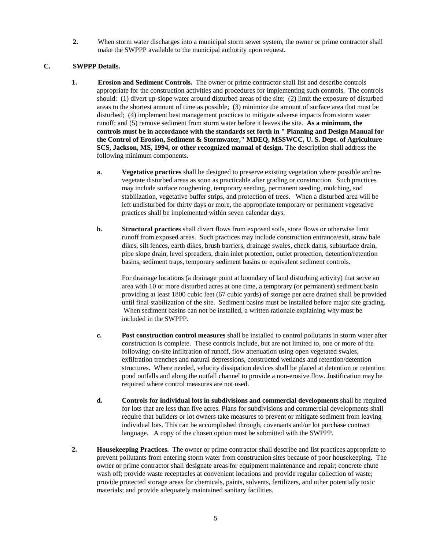**2.** When storm water discharges into a municipal storm sewer system, the owner or prime contractor shall make the SWPPP available to the municipal authority upon request.

#### **C. SWPPP Details.**

- **1. Erosion and Sediment Controls.** The owner or prime contractor shall list and describe controls appropriate for the construction activities and procedures for implementing such controls. The controls should: (1) divert up-slope water around disturbed areas of the site; (2) limit the exposure of disturbed areas to the shortest amount of time as possible; (3) minimize the amount of surface area that must be disturbed; (4) implement best management practices to mitigate adverse impacts from storm water runoff; and (5) remove sediment from storm water before it leaves the site. **As a minimum, the controls must be in accordance with the standards set forth in " Planning and Design Manual for the Control of Erosion, Sediment & Stormwater," MDEQ, MSSWCC, U. S. Dept. of Agriculture SCS, Jackson, MS, 1994, or other recognized manual of design.** The description shall address the following minimum components.
	- **a. Vegetative practices** shall be designed to preserve existing vegetation where possible and revegetate disturbed areas as soon as practicable after grading or construction. Such practices may include surface roughening, temporary seeding, permanent seeding, mulching, sod stabilization, vegetative buffer strips, and protection of trees. When a disturbed area will be left undisturbed for thirty days or more, the appropriate temporary or permanent vegetative practices shall be implemented within seven calendar days.
	- **b.** Structural practices shall divert flows from exposed soils, store flows or otherwise limit runoff from exposed areas. Such practices may include construction entrance/exit, straw bale dikes, silt fences, earth dikes, brush barriers, drainage swales, check dams, subsurface drain, pipe slope drain, level spreaders, drain inlet protection, outlet protection, detention/retention basins, sediment traps, temporary sediment basins or equivalent sediment controls.

For drainage locations (a drainage point at boundary of land disturbing activity) that serve an area with 10 or more disturbed acres at one time, a temporary (or permanent) sediment basin providing at least 1800 cubic feet (67 cubic yards) of storage per acre drained shall be provided until final stabilization of the site. Sediment basins must be installed before major site grading. When sediment basins can not be installed, a written rationale explaining why must be included in the SWPPP.

- **c. Post construction control measures** shall be installed to control pollutants in storm water after construction is complete. These controls include, but are not limited to, one or more of the following: on-site infiltration of runoff, flow attenuation using open vegetated swales, exfiltration trenches and natural depressions, constructed wetlands and retention/detention structures. Where needed, velocity dissipation devices shall be placed at detention or retention pond outfalls and along the outfall channel to provide a non-erosive flow. Justification may be required where control measures are not used.
- **d. Controls for individual lots in subdivisions and commercial developments** shall be required for lots that are less than five acres. Plans for subdivisions and commercial developments shall require that builders or lot owners take measures to prevent or mitigate sediment from leaving individual lots. This can be accomplished through, covenants and/or lot purchase contract language. A copy of the chosen option must be submitted with the SWPPP.
- **2. Housekeeping Practices.** The owner or prime contractor shall describe and list practices appropriate to prevent pollutants from entering storm water from construction sites because of poor housekeeping. The owner or prime contractor shall designate areas for equipment maintenance and repair; concrete chute wash off; provide waste receptacles at convenient locations and provide regular collection of waste; provide protected storage areas for chemicals, paints, solvents, fertilizers, and other potentially toxic materials; and provide adequately maintained sanitary facilities.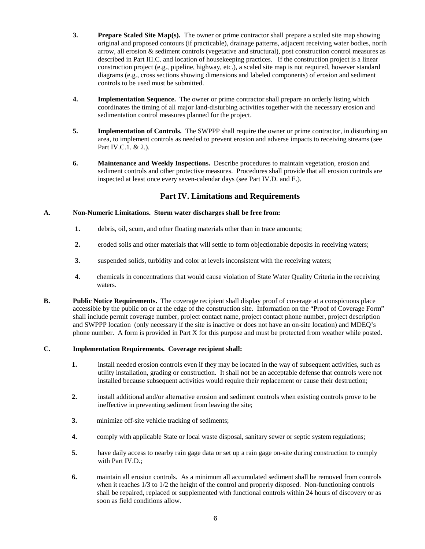- **3. Prepare Scaled Site Map(s).** The owner or prime contractor shall prepare a scaled site map showing original and proposed contours (if practicable), drainage patterns, adjacent receiving water bodies, north arrow, all erosion & sediment controls (vegetative and structural), post construction control measures as described in Part III.C. and location of housekeeping practices. If the construction project is a linear construction project (e.g., pipeline, highway, etc.), a scaled site map is not required, however standard diagrams (e.g., cross sections showing dimensions and labeled components) of erosion and sediment controls to be used must be submitted.
- **4. Implementation Sequence.** The owner or prime contractor shall prepare an orderly listing which coordinates the timing of all major land-disturbing activities together with the necessary erosion and sedimentation control measures planned for the project.
- **5. Implementation of Controls.** The SWPPP shall require the owner or prime contractor, in disturbing an area, to implement controls as needed to prevent erosion and adverse impacts to receiving streams (see Part IV.C.1. & 2.).
- **6. Maintenance and Weekly Inspections.** Describe procedures to maintain vegetation, erosion and sediment controls and other protective measures. Procedures shall provide that all erosion controls are inspected at least once every seven-calendar days (see Part IV.D. and E.).

#### **Part IV. Limitations and Requirements**

#### **A. Non-Numeric Limitations. Storm water discharges shall be free from:**

- **1.** debris, oil, scum, and other floating materials other than in trace amounts;
- **2.** eroded soils and other materials that will settle to form objectionable deposits in receiving waters;
- **3.** suspended solids, turbidity and color at levels inconsistent with the receiving waters;
- **4.** chemicals in concentrations that would cause violation of State Water Quality Criteria in the receiving waters.
- **B.** Public Notice Requirements. The coverage recipient shall display proof of coverage at a conspicuous place accessible by the public on or at the edge of the construction site. Information on the "Proof of Coverage Form" shall include permit coverage number, project contact name, project contact phone number, project description and SWPPP location (only necessary if the site is inactive or does not have an on-site location) and MDEQ's phone number. A form is provided in Part X for this purpose and must be protected from weather while posted.

#### **C. Implementation Requirements. Coverage recipient shall:**

- **1.** install needed erosion controls even if they may be located in the way of subsequent activities, such as utility installation, grading or construction. It shall not be an acceptable defense that controls were not installed because subsequent activities would require their replacement or cause their destruction;
- **2.** install additional and/or alternative erosion and sediment controls when existing controls prove to be ineffective in preventing sediment from leaving the site;
- **3.** minimize off-site vehicle tracking of sediments;
- **4.** comply with applicable State or local waste disposal, sanitary sewer or septic system regulations;
- **5.** have daily access to nearby rain gage data or set up a rain gage on-site during construction to comply with Part IV.D.;
- **6.** maintain all erosion controls. As a minimum all accumulated sediment shall be removed from controls when it reaches 1/3 to 1/2 the height of the control and properly disposed. Non-functioning controls shall be repaired, replaced or supplemented with functional controls within 24 hours of discovery or as soon as field conditions allow.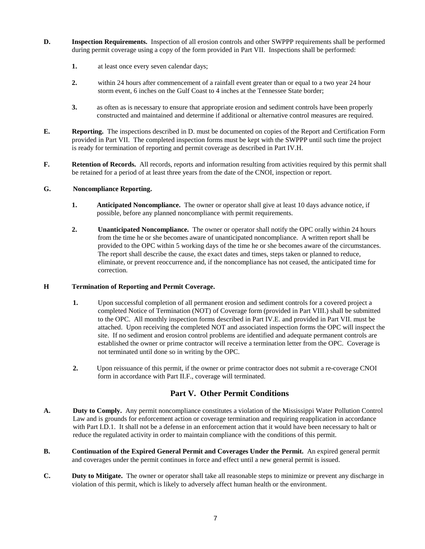- **D. Inspection Requirements.** Inspection of all erosion controls and other SWPPP requirements shall be performed during permit coverage using a copy of the form provided in Part VII. Inspections shall be performed:
	- **1.** at least once every seven calendar days;
	- **2.** within 24 hours after commencement of a rainfall event greater than or equal to a two year 24 hour storm event, 6 inches on the Gulf Coast to 4 inches at the Tennessee State border;
	- **3.** as often as is necessary to ensure that appropriate erosion and sediment controls have been properly constructed and maintained and determine if additional or alternative control measures are required.
- **E. Reporting.** The inspections described in D. must be documented on copies of the Report and Certification Form provided in Part VII. The completed inspection forms must be kept with the SWPPP until such time the project is ready for termination of reporting and permit coverage as described in Part IV.H.
- **F.** Retention of Records. All records, reports and information resulting from activities required by this permit shall be retained for a period of at least three years from the date of the CNOI, inspection or report.

#### **G. Noncompliance Reporting.**

- **1.** Anticipated Noncompliance. The owner or operator shall give at least 10 days advance notice, if possible, before any planned noncompliance with permit requirements.
- **2. Unanticipated Noncompliance.** The owner or operator shall notify the OPC orally within 24 hours from the time he or she becomes aware of unanticipated noncompliance. A written report shall be provided to the OPC within 5 working days of the time he or she becomes aware of the circumstances. The report shall describe the cause, the exact dates and times, steps taken or planned to reduce, eliminate, or prevent reoccurrence and, if the noncompliance has not ceased, the anticipated time for correction.

#### **H Termination of Reporting and Permit Coverage.**

- **1.** Upon successful completion of all permanent erosion and sediment controls for a covered project a completed Notice of Termination (NOT) of Coverage form (provided in Part VIII.) shall be submitted to the OPC. All monthly inspection forms described in Part IV.E. and provided in Part VII. must be attached. Upon receiving the completed NOT and associated inspection forms the OPC will inspect the site. If no sediment and erosion control problems are identified and adequate permanent controls are established the owner or prime contractor will receive a termination letter from the OPC. Coverage is not terminated until done so in writing by the OPC.
- **2.** Upon reissuance of this permit, if the owner or prime contractor does not submit a re-coverage CNOI form in accordance with Part II.F., coverage will terminated.

#### **Part V. Other Permit Conditions**

- **A. Duty to Comply.** Any permit noncompliance constitutes a violation of the Mississippi Water Pollution Control Law and is grounds for enforcement action or coverage termination and requiring reapplication in accordance with Part I.D.1. It shall not be a defense in an enforcement action that it would have been necessary to halt or reduce the regulated activity in order to maintain compliance with the conditions of this permit.
- **B. Continuation of the Expired General Permit and Coverages Under the Permit.** An expired general permit and coverages under the permit continues in force and effect until a new general permit is issued.
- **C. Duty to Mitigate.** The owner or operator shall take all reasonable steps to minimize or prevent any discharge in violation of this permit, which is likely to adversely affect human health or the environment.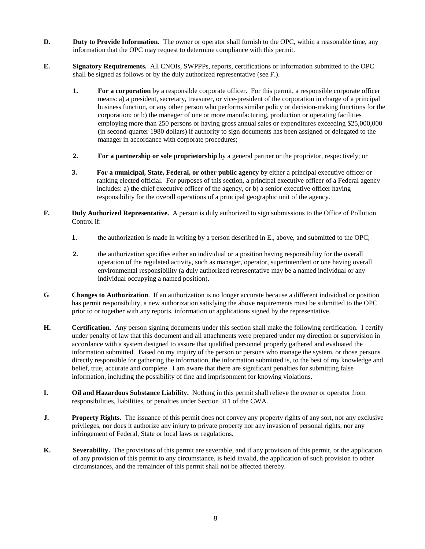- **D.** Duty to Provide Information. The owner or operator shall furnish to the OPC, within a reasonable time, any information that the OPC may request to determine compliance with this permit.
- **E. Signatory Requirements.** All CNOIs, SWPPPs, reports, certifications or information submitted to the OPC shall be signed as follows or by the duly authorized representative (see F.).
	- **1.** For a corporation by a responsible corporate officer. For this permit, a responsible corporate officer means: a) a president, secretary, treasurer, or vice-president of the corporation in charge of a principal business function, or any other person who performs similar policy or decision-making functions for the corporation; or b) the manager of one or more manufacturing, production or operating facilities employing more than 250 persons or having gross annual sales or expenditures exceeding \$25,000,000 (in second-quarter 1980 dollars) if authority to sign documents has been assigned or delegated to the manager in accordance with corporate procedures;
	- **2. For a partnership or sole proprietorship** by a general partner or the proprietor, respectively; or
	- **3. For a municipal, State, Federal, or other public agency** by either a principal executive officer or ranking elected official. For purposes of this section, a principal executive officer of a Federal agency includes: a) the chief executive officer of the agency, or b) a senior executive officer having responsibility for the overall operations of a principal geographic unit of the agency.
- **F. Duly Authorized Representative.** A person is duly authorized to sign submissions to the Office of Pollution Control if:
	- **1.** the authorization is made in writing by a person described in E., above, and submitted to the OPC;
	- **2.** the authorization specifies either an individual or a position having responsibility for the overall operation of the regulated activity, such as manager, operator, superintendent or one having overall environmental responsibility (a duly authorized representative may be a named individual or any individual occupying a named position).
- **G Changes to Authorization**. If an authorization is no longer accurate because a different individual or position has permit responsibility, a new authorization satisfying the above requirements must be submitted to the OPC prior to or together with any reports, information or applications signed by the representative.
- **H. Certification.** Any person signing documents under this section shall make the following certification. I certify under penalty of law that this document and all attachments were prepared under my direction or supervision in accordance with a system designed to assure that qualified personnel properly gathered and evaluated the information submitted. Based on my inquiry of the person or persons who manage the system, or those persons directly responsible for gathering the information, the information submitted is, to the best of my knowledge and belief, true, accurate and complete. I am aware that there are significant penalties for submitting false information, including the possibility of fine and imprisonment for knowing violations.
- **I. Oil and Hazardous Substance Liability.** Nothing in this permit shall relieve the owner or operator from responsibilities, liabilities, or penalties under Section 311 of the CWA.
- **J.** Property Rights. The issuance of this permit does not convey any property rights of any sort, nor any exclusive privileges, nor does it authorize any injury to private property nor any invasion of personal rights, nor any infringement of Federal, State or local laws or regulations.
- **K.** Severability. The provisions of this permit are severable, and if any provision of this permit, or the application of any provision of this permit to any circumstance, is held invalid, the application of such provision to other circumstances, and the remainder of this permit shall not be affected thereby.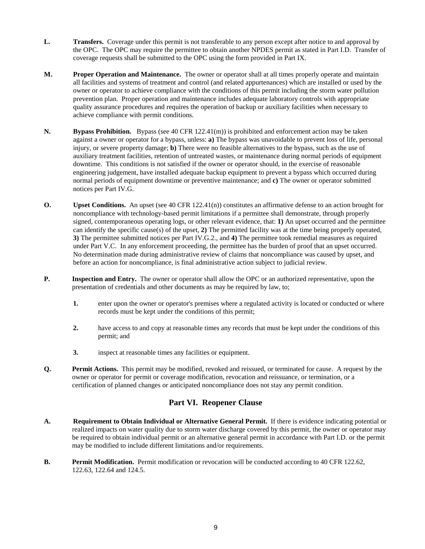- **L. Transfers.** Coverage under this permit is not transferable to any person except after notice to and approval by the OPC. The OPC may require the permittee to obtain another NPDES permit as stated in Part I.D. Transfer of coverage requests shall be submitted to the OPC using the form provided in Part IX.
- **M. Proper Operation and Maintenance.** The owner or operator shall at all times properly operate and maintain all facilities and systems of treatment and control (and related appurtenances) which are installed or used by the owner or operator to achieve compliance with the conditions of this permit including the storm water pollution prevention plan. Proper operation and maintenance includes adequate laboratory controls with appropriate quality assurance procedures and requires the operation of backup or auxiliary facilities when necessary to achieve compliance with permit conditions.
- **N. Bypass Prohibition.** Bypass (see 40 CFR 122.41(m)) is prohibited and enforcement action may be taken against a owner or operator for a bypass, unless: **a)** The bypass was unavoidable to prevent loss of life, personal injury, or severe property damage; **b)** There were no feasible alternatives to the bypass, such as the use of auxiliary treatment facilities, retention of untreated wastes, or maintenance during normal periods of equipment downtime. This conditions is not satisfied if the owner or operator should, in the exercise of reasonable engineering judgement, have installed adequate backup equipment to prevent a bypass which occurred during normal periods of equipment downtime or preventive maintenance; and **c)** The owner or operator submitted notices per Part IV.G.
- **O.** Upset Conditions. An upset (see 40 CFR 122.41(n)) constitutes an affirmative defense to an action brought for noncompliance with technology-based permit limitations if a permittee shall demonstrate, through properly signed, contemporaneous operating logs, or other relevant evidence, that: **1)** An upset occurred and the permittee can identify the specific cause(s) of the upset, **2)** The permitted facility was at the time being properly operated, **3)** The permittee submitted notices per Part IV.G.2., and **4)** The permittee took remedial measures as required under Part V.C. In any enforcement proceeding, the permittee has the burden of proof that an upset occurred. No determination made during administrative review of claims that noncompliance was caused by upset, and before an action for noncompliance, is final administrative action subject to judicial review.
- **P.** Inspection and Entry. The owner or operator shall allow the OPC or an authorized representative, upon the presentation of credentials and other documents as may be required by law, to;
	- **1.** enter upon the owner or operator's premises where a regulated activity is located or conducted or where records must be kept under the conditions of this permit;
	- **2.** have access to and copy at reasonable times any records that must be kept under the conditions of this permit; and
	- **3.** inspect at reasonable times any facilities or equipment.
- **Q. Permit Actions.** This permit may be modified, revoked and reissued, or terminated for cause. A request by the owner or operator for permit or coverage modification, revocation and reissuance, or termination, or a certification of planned changes or anticipated noncompliance does not stay any permit condition.

#### **Part VI. Reopener Clause**

- **A. Requirement to Obtain Individual or Alternative General Permit.** If there is evidence indicating potential or realized impacts on water quality due to storm water discharge covered by this permit, the owner or operator may be required to obtain individual permit or an alternative general permit in accordance with Part I.D. or the permit may be modified to include different limitations and/or requirements.
- **B.** Permit Modification. Permit modification or revocation will be conducted according to 40 CFR 122.62, 122.63, 122.64 and 124.5.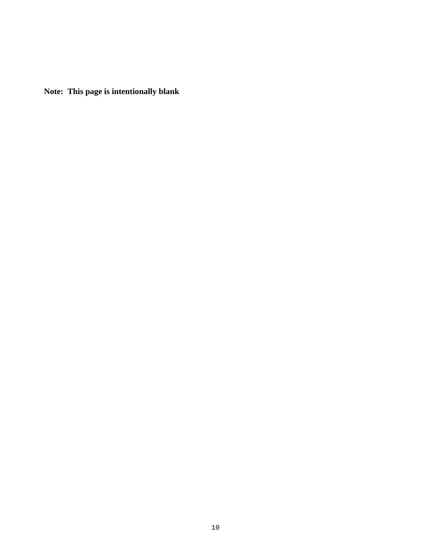**Note: This page is intentionally blank**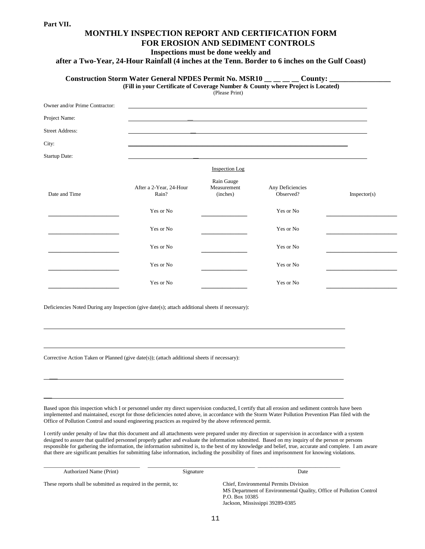$\overline{a}$ 

 $\overline{\phantom{a}}$ 

 $\overline{\phantom{a}}$ 

### **MONTHLY INSPECTION REPORT AND CERTIFICATION FORM FOR EROSION AND SEDIMENT CONTROLS**

**Inspections must be done weekly and**

**after a Two-Year, 24-Hour Rainfall (4 inches at the Tenn. Border to 6 inches on the Gulf Coast)**

|                                | (Fill in your Certificate of Coverage Number & County where Project is Located) | (Please Print)                        |                               |              |
|--------------------------------|---------------------------------------------------------------------------------|---------------------------------------|-------------------------------|--------------|
| Owner and/or Prime Contractor: |                                                                                 |                                       |                               |              |
| Project Name:                  |                                                                                 |                                       |                               |              |
| <b>Street Address:</b>         |                                                                                 |                                       |                               |              |
| City:                          |                                                                                 |                                       |                               |              |
| Startup Date:                  |                                                                                 |                                       |                               |              |
|                                |                                                                                 | <b>Inspection</b> Log                 |                               |              |
| Date and Time                  | After a 2-Year, 24-Hour<br>Rain?                                                | Rain Gauge<br>Measurement<br>(inches) | Any Deficiencies<br>Observed? | Inspector(s) |
|                                | Yes or No                                                                       |                                       | Yes or No                     |              |
|                                | Yes or No                                                                       |                                       | Yes or No                     |              |
|                                | Yes or No                                                                       |                                       | Yes or No                     |              |
|                                | Yes or No                                                                       |                                       | Yes or No                     |              |
|                                | Yes or No                                                                       |                                       | Yes or No                     |              |

Deficiencies Noted During any Inspection (give date(s); attach additional sheets if necessary):

Corrective Action Taken or Planned (give date(s)); (attach additional sheets if necessary):

Based upon this inspection which I or personnel under my direct supervision conducted, I certify that all erosion and sediment controls have been implemented and maintained, except for those deficiencies noted above, in accordance with the Storm Water Pollution Prevention Plan filed with the Office of Pollution Control and sound engineering practices as required by the above referenced permit.

l

I certify under penalty of law that this document and all attachments were prepared under my direction or supervision in accordance with a system designed to assure that qualified personnel properly gather and evaluate the information submitted. Based on my inquiry of the person or persons responsible for gathering the information, the information submitted is, to the best of my knowledge and belief, true, accurate and complete. I am aware that there are significant penalties for submitting false information, including the possibility of fines and imprisonment for knowing violations.

| Authorized Name (Print)                                         | Signature | Date                                                                                                                                                              |
|-----------------------------------------------------------------|-----------|-------------------------------------------------------------------------------------------------------------------------------------------------------------------|
| These reports shall be submitted as required in the permit, to: |           | Chief, Environmental Permits Division<br>MS Department of Environmental Quality, Office of Pollution Control<br>P.O. Box 10385<br>Jackson, Mississippi 39289-0385 |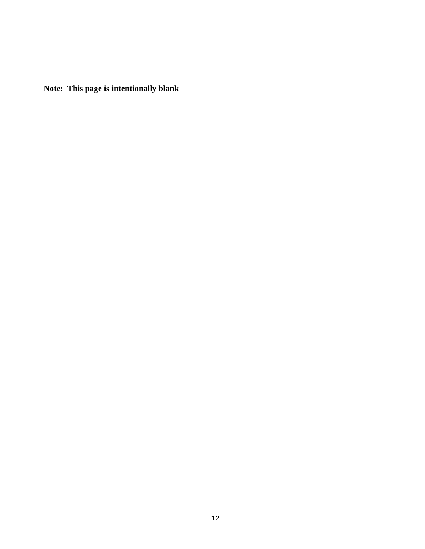**Note: This page is intentionally blank**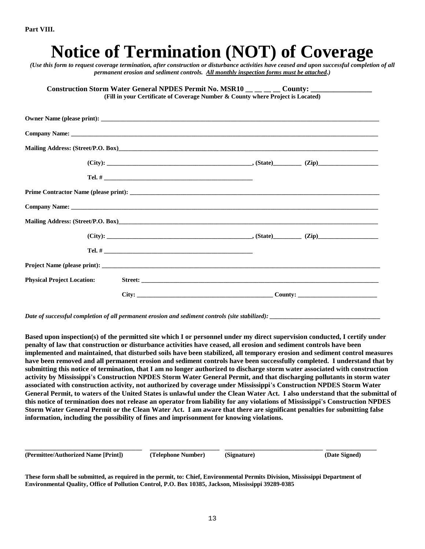| Construction Storm Water General NPDES Permit No. MSR10 _____ County: ___________<br>(Fill in your Certificate of Coverage Number & County where Project is Located) |  |
|----------------------------------------------------------------------------------------------------------------------------------------------------------------------|--|
|                                                                                                                                                                      |  |
|                                                                                                                                                                      |  |
|                                                                                                                                                                      |  |
| $(City):$ $(Zip)$ $(Zip)$ $(Zip)$ $(Zip)$                                                                                                                            |  |
|                                                                                                                                                                      |  |
|                                                                                                                                                                      |  |
|                                                                                                                                                                      |  |
|                                                                                                                                                                      |  |
| $(City):$ $(Zip)$ $(Zip)$ $(Zip)$ $(Zip)$ $(Zip)$                                                                                                                    |  |
|                                                                                                                                                                      |  |
|                                                                                                                                                                      |  |

*Date of successful completion of all permanent erosion and sediment controls (site stabilized):* 

**Based upon inspection(s) of the permitted site which I or personnel under my direct supervision conducted, I certify under penalty of law that construction or disturbance activities have ceased, all erosion and sediment controls have been implemented and maintained, that disturbed soils have been stabilized, all temporary erosion and sediment control measures have been removed and all permanent erosion and sediment controls have been successfully completed. I understand that by submitting this notice of termination, that I am no longer authorized to discharge storm water associated with construction activity by Mississippi**'**s Construction NPDES Storm Water General Permit, and that discharging pollutants in storm water associated with construction activity, not authorized by coverage under Mississippi**'**s Construction NPDES Storm Water General Permit, to waters of the United States is unlawful under the Clean Water Act. I also understand that the submittal of this notice of termination does not release an operator from liability for any violations of Mississippi**'**s Construction NPDES Storm Water General Permit or the Clean Water Act. I am aware that there are significant penalties for submitting false information, including the possibility of fines and imprisonment for knowing violations.**

**(Permittee/Authorized Name [Print]) (Telephone Number) (Signature) (Date Signed)**

**These form shall be submitted, as required in the permit, to: Chief, Environmental Permits Division, Mississippi Department of Environmental Quality, Office of Pollution Control, P.O. Box 10385, Jackson, Mississippi 39289-0385**

**\_\_\_\_\_\_\_\_\_\_\_\_\_\_\_\_\_\_\_\_\_\_\_\_\_\_\_\_\_\_\_\_\_\_\_\_\_ \_\_\_\_\_\_\_\_\_\_\_\_\_\_\_\_\_\_\_\_\_\_ \_\_\_\_\_\_\_\_\_\_\_\_\_\_\_\_\_\_\_\_\_\_\_\_\_\_\_\_\_\_\_ \_\_\_\_\_\_\_\_\_\_\_\_\_\_\_\_**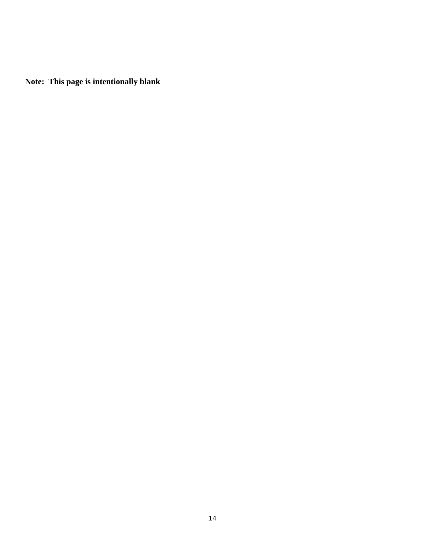**Note: This page is intentionally blank**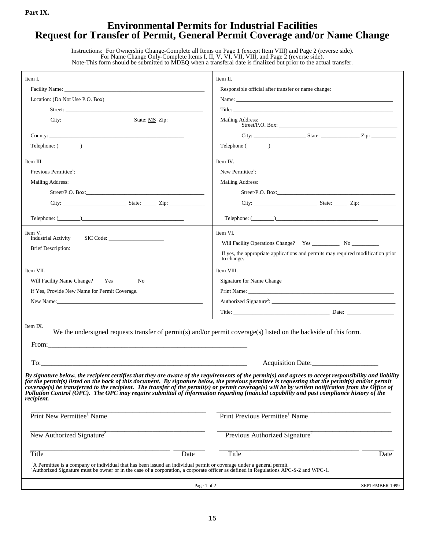#### **Environmental Permits for Industrial Facilities Request for Transfer of Permit, General Permit Coverage and/or Name Change**

| Instructions: For Ownership Change-Complete all Items on Page 1 (except Item VIII) and Page 2 (reverse side).    |
|------------------------------------------------------------------------------------------------------------------|
| For Name Change Only-Complete Items I, II, V, VI, VII, VIII, and Page 2 (reverse side).                          |
| Note-This form should be submitted to MDEO when a transferal date is finalized but prior to the actual transfer. |

| Item I.<br>Location: (Do Not Use P.O. Box)<br>$\text{Telephone: } (\_\_\_\_\_\_\_\_\_\_\_\$                                                                                                                                                                                                                                                                                                                                                                                                                                                                                                                                                                                                                                                                                     | Item II.<br>Responsible official after transfer or name change:<br>Mailing Address:                        |  |  |
|---------------------------------------------------------------------------------------------------------------------------------------------------------------------------------------------------------------------------------------------------------------------------------------------------------------------------------------------------------------------------------------------------------------------------------------------------------------------------------------------------------------------------------------------------------------------------------------------------------------------------------------------------------------------------------------------------------------------------------------------------------------------------------|------------------------------------------------------------------------------------------------------------|--|--|
| Item III.<br>Mailing Address:<br>$\text{Telephone: } (\_\_\_\_\_\_\_\_\_\_\$                                                                                                                                                                                                                                                                                                                                                                                                                                                                                                                                                                                                                                                                                                    | Item IV.<br>Mailing Address:<br>$\text{Telephone: } (\_\_ \_\_ )$                                          |  |  |
| Item V.<br><b>Industrial Activity</b><br><b>Brief Description:</b>                                                                                                                                                                                                                                                                                                                                                                                                                                                                                                                                                                                                                                                                                                              | Item VI.<br>If yes, the appropriate applications and permits may required modification prior<br>to change. |  |  |
| Item VII.<br>Will Facility Name Change? Yes_________ No_______<br>If Yes, Provide New Name for Permit Coverage.                                                                                                                                                                                                                                                                                                                                                                                                                                                                                                                                                                                                                                                                 | Item VIII.<br>Signature for Name Change                                                                    |  |  |
| Item IX.<br>We the undersigned requests transfer of permit(s) and/or permit coverage(s) listed on the backside of this form.<br>Acquisition Date:<br>By signature below, the recipient certifies that they are aware of the requirements of the permit(s) and agrees to accept responsibility and liability<br>for the permit(s) listed on the back of this document. By signature below, the previous permittee is requesting that the permit(s) and/or permit<br>coverage(s) be transferred to the recipient. The transfer of the permit(s) or permit coverage(s) will be by written notification from the Office of<br>Pollution Control (OPC). The OPC may require submittal of information regarding financial capability and past compliance history of the<br>recipient. |                                                                                                            |  |  |
| Print New Permittee <sup>1</sup> Name<br>New Authorized Signature <sup>2</sup>                                                                                                                                                                                                                                                                                                                                                                                                                                                                                                                                                                                                                                                                                                  | Print Previous Permittee <sup>1</sup> Name<br>Previous Authorized Signature <sup>2</sup>                   |  |  |
| <b>Title</b><br>Date<br>$^{1}_{2}$ A Permittee is a company or individual that has been issued an individual permit or coverage under a general permit.<br><sup>2</sup> Authorized Signature must be owner or in the case of a corporation, a corporate officer as defined in Regulations APC-S-2 and WPC-1.                                                                                                                                                                                                                                                                                                                                                                                                                                                                    | Title<br>Date                                                                                              |  |  |
| Page 1 of 2                                                                                                                                                                                                                                                                                                                                                                                                                                                                                                                                                                                                                                                                                                                                                                     | SEPTEMBER 1999                                                                                             |  |  |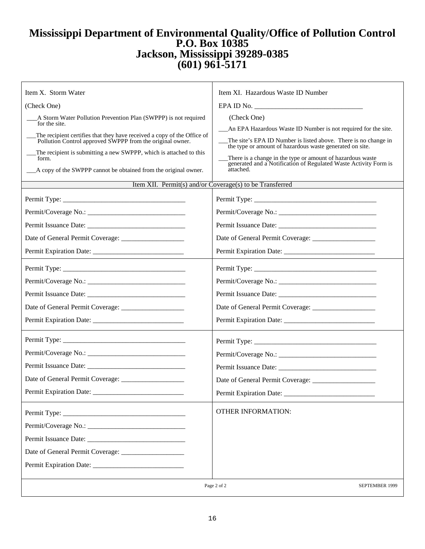## **Mississippi Department of Environmental Quality/Office of Pollution Control P.O. Box 10385 Jackson, Mississippi 39289-0385 (601) 961-5171**

| Item X. Storm Water                                                                                                                  | Item XI. Hazardous Waste ID Number                                                                                             |
|--------------------------------------------------------------------------------------------------------------------------------------|--------------------------------------------------------------------------------------------------------------------------------|
| (Check One)                                                                                                                          |                                                                                                                                |
| A Storm Water Pollution Prevention Plan (SWPPP) is not required                                                                      | (Check One)                                                                                                                    |
| for the site.                                                                                                                        | An EPA Hazardous Waste ID Number is not required for the site.                                                                 |
| The recipient certifies that they have received a copy of the Office of<br>Pollution Control approved SWPPP from the original owner. | The site's EPA ID Number is listed above. There is no change in                                                                |
| The recipient is submitting a new SWPPP, which is attached to this                                                                   | the type or amount of hazardous waste generated on site.                                                                       |
| form.                                                                                                                                | There is a change in the type or amount of hazardous waste<br>generated and a Notification of Regulated Waste Activity Form is |
| __A copy of the SWPPP cannot be obtained from the original owner.                                                                    | attached.                                                                                                                      |
| Item XII. Permit(s) and/or Coverage(s) to be Transferred                                                                             |                                                                                                                                |
|                                                                                                                                      |                                                                                                                                |
|                                                                                                                                      |                                                                                                                                |
|                                                                                                                                      |                                                                                                                                |
|                                                                                                                                      |                                                                                                                                |
|                                                                                                                                      |                                                                                                                                |
|                                                                                                                                      |                                                                                                                                |
|                                                                                                                                      |                                                                                                                                |
|                                                                                                                                      |                                                                                                                                |
|                                                                                                                                      | Date of General Permit Coverage: ________________                                                                              |
|                                                                                                                                      |                                                                                                                                |
| Permit Expiration Date: ________                                                                                                     | Permit Expiration Date: _____________<br><b>OTHER INFORMATION:</b>                                                             |
|                                                                                                                                      | Page 2 of 2<br>SEPTEMBER 1999                                                                                                  |